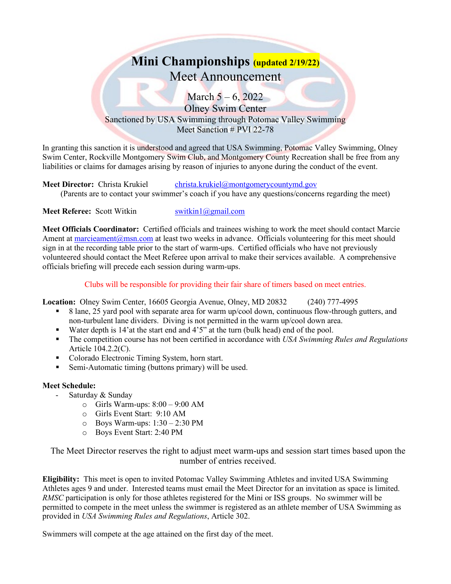# **Mini Championships (updated 2/19/22)** Meet Announcement

March  $5 - 6$ , 2022 Olney Swim Center Sanctioned by USA Swimming through Potomac Valley Swimming Meet Sanction # PVI 22-78

In granting this sanction it is understood and agreed that USA Swimming, Potomac Valley Swimming, Olney Swim Center, Rockville Montgomery Swim Club, and Montgomery County Recreation shall be free from any liabilities or claims for damages arising by reason of injuries to anyone during the conduct of the event.

**Meet Director:** Christa Krukiel [christa.krukiel@montgomerycountymd.gov](mailto:christa.krukiel@montgomerycountymd.gov) (Parents are to contact your swimmer's coach if you have any questions/concerns regarding the meet)

**Meet Referee:** Scott Witkin [switkin1@gmail.com](mailto:switkin1@gmail.com)

**Meet Officials Coordinator:** Certified officials and trainees wishing to work the meet should contact Marcie Ament at [marcieament@msn.com](mailto:marcieament@msn.com) at least two weeks in advance. Officials volunteering for this meet should sign in at the recording table prior to the start of warm-ups. Certified officials who have not previously volunteered should contact the Meet Referee upon arrival to make their services available. A comprehensive officials briefing will precede each session during warm-ups.

Clubs will be responsible for providing their fair share of timers based on meet entries.

**Location:** Olney Swim Center, 16605 Georgia Avenue, Olney, MD 20832 (240) 777-4995

- 8 lane, 25 yard pool with separate area for warm up/cool down, continuous flow-through gutters, and non-turbulent lane dividers. Diving is not permitted in the warm up/cool down area.
- Water depth is 14'at the start end and 4'5" at the turn (bulk head) end of the pool.
- The competition course has not been certified in accordance with *USA Swimming Rules and Regulations* Article 104.2.2(C).
- Colorado Electronic Timing System, horn start.
- Semi-Automatic timing (buttons primary) will be used.

#### **Meet Schedule:**

- Saturday & Sunday
	- $\circ$  Girls Warm-ups:  $8:00 9:00$  AM
	- o Girls Event Start: 9:10 AM
	- $\circ$  Boys Warm-ups: 1:30 2:30 PM
	- o Boys Event Start: 2:40 PM

The Meet Director reserves the right to adjust meet warm-ups and session start times based upon the number of entries received.

**Eligibility:** This meet is open to invited Potomac Valley Swimming Athletes and invited USA Swimming Athletes ages 9 and under. Interested teams must email the Meet Director for an invitation as space is limited. *RMSC* participation is only for those athletes registered for the Mini or ISS groups. No swimmer will be permitted to compete in the meet unless the swimmer is registered as an athlete member of USA Swimming as provided in *USA Swimming Rules and Regulations*, Article 302.

Swimmers will compete at the age attained on the first day of the meet.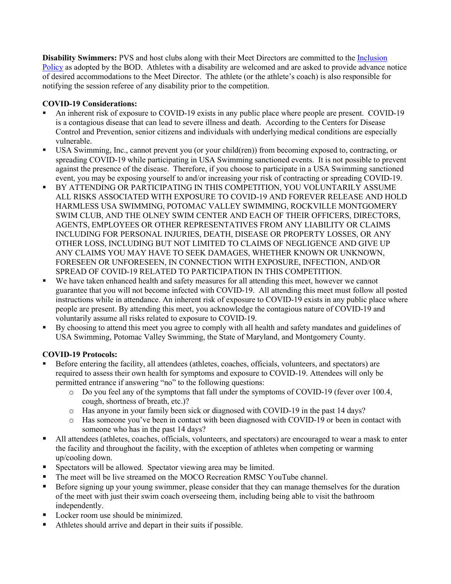**Disability Swimmers:** PVS and host clubs along with their Meet Directors are committed to the [Inclusion](http://www.pvswim.org/disability/inclusion_policy.html)  [Policy](http://www.pvswim.org/disability/inclusion_policy.html) as adopted by the BOD. Athletes with a disability are welcomed and are asked to provide advance notice of desired accommodations to the Meet Director. The athlete (or the athlete's coach) is also responsible for notifying the session referee of any disability prior to the competition.

## **COVID-19 Considerations:**

- An inherent risk of exposure to COVID-19 exists in any public place where people are present. COVID-19 is a contagious disease that can lead to severe illness and death. According to the Centers for Disease Control and Prevention, senior citizens and individuals with underlying medical conditions are especially vulnerable.
- USA Swimming, Inc., cannot prevent you (or your child(ren)) from becoming exposed to, contracting, or spreading COVID-19 while participating in USA Swimming sanctioned events. It is not possible to prevent against the presence of the disease. Therefore, if you choose to participate in a USA Swimming sanctioned event, you may be exposing yourself to and/or increasing your risk of contracting or spreading COVID-19.
- BY ATTENDING OR PARTICIPATING IN THIS COMPETITION, YOU VOLUNTARILY ASSUME ALL RISKS ASSOCIATED WITH EXPOSURE TO COVID-19 AND FOREVER RELEASE AND HOLD HARMLESS USA SWIMMING, POTOMAC VALLEY SWIMMING, ROCKVILLE MONTGOMERY SWIM CLUB, AND THE OLNEY SWIM CENTER AND EACH OF THEIR OFFICERS, DIRECTORS, AGENTS, EMPLOYEES OR OTHER REPRESENTATIVES FROM ANY LIABILITY OR CLAIMS INCLUDING FOR PERSONAL INJURIES, DEATH, DISEASE OR PROPERTY LOSSES, OR ANY OTHER LOSS, INCLUDING BUT NOT LIMITED TO CLAIMS OF NEGLIGENCE AND GIVE UP ANY CLAIMS YOU MAY HAVE TO SEEK DAMAGES, WHETHER KNOWN OR UNKNOWN, FORESEEN OR UNFORESEEN, IN CONNECTION WITH EXPOSURE, INFECTION, AND/OR SPREAD OF COVID-19 RELATED TO PARTICIPATION IN THIS COMPETITION.
- We have taken enhanced health and safety measures for all attending this meet, however we cannot guarantee that you will not become infected with COVID-19. All attending this meet must follow all posted instructions while in attendance. An inherent risk of exposure to COVID-19 exists in any public place where people are present. By attending this meet, you acknowledge the contagious nature of COVID-19 and voluntarily assume all risks related to exposure to COVID-19.
- By choosing to attend this meet you agree to comply with all health and safety mandates and guidelines of USA Swimming, Potomac Valley Swimming, the State of Maryland, and Montgomery County.

### **COVID-19 Protocols:**

- Before entering the facility, all attendees (athletes, coaches, officials, volunteers, and spectators) are required to assess their own health for symptoms and exposure to COVID-19. Attendees will only be permitted entrance if answering "no" to the following questions:
	- o Do you feel any of the symptoms that fall under the symptoms of COVID-19 (fever over 100.4, cough, shortness of breath, etc.)?
	- o Has anyone in your family been sick or diagnosed with COVID-19 in the past 14 days?
	- o Has someone you've been in contact with been diagnosed with COVID-19 or been in contact with someone who has in the past 14 days?
- All attendees (athletes, coaches, officials, volunteers, and spectators) are encouraged to wear a mask to enter the facility and throughout the facility, with the exception of athletes when competing or warming up/cooling down.
- **Spectators will be allowed. Spectator viewing area may be limited.**
- The meet will be live streamed on the MOCO Recreation RMSC YouTube channel.
- Before signing up your young swimmer, please consider that they can manage themselves for the duration of the meet with just their swim coach overseeing them, including being able to visit the bathroom independently.
- Locker room use should be minimized.
- Athletes should arrive and depart in their suits if possible.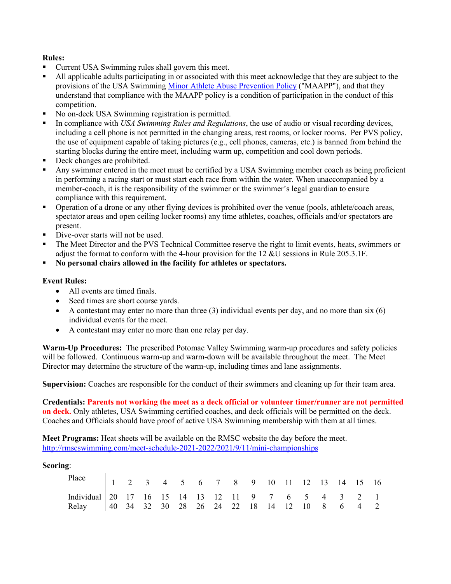### **Rules:**

- Current USA Swimming rules shall govern this meet.
- All applicable adults participating in or associated with this meet acknowledge that they are subject to the provisions of the USA Swimming [Minor Athlete Abuse Prevention Policy](https://www.usaswimming.org/safe-sport/minor-athlete-abuse-prevention-policy) ("MAAPP"), and that they understand that compliance with the MAAPP policy is a condition of participation in the conduct of this competition.
- No on-deck USA Swimming registration is permitted.
- In compliance with *USA Swimming Rules and Regulations*, the use of audio or visual recording devices, including a cell phone is not permitted in the changing areas, rest rooms, or locker rooms. Per PVS policy, the use of equipment capable of taking pictures (e.g., cell phones, cameras, etc.) is banned from behind the starting blocks during the entire meet, including warm up, competition and cool down periods.
- Deck changes are prohibited.
- Any swimmer entered in the meet must be certified by a USA Swimming member coach as being proficient in performing a racing start or must start each race from within the water. When unaccompanied by a member-coach, it is the responsibility of the swimmer or the swimmer's legal guardian to ensure compliance with this requirement.
- Operation of a drone or any other flying devices is prohibited over the venue (pools, athlete/coach areas, spectator areas and open ceiling locker rooms) any time athletes, coaches, officials and/or spectators are present.
- Dive-over starts will not be used.
- The Meet Director and the PVS Technical Committee reserve the right to limit events, heats, swimmers or adjust the format to conform with the 4-hour provision for the 12 &U sessions in Rule 205.3.1F.
- **No personal chairs allowed in the facility for athletes or spectators.**

#### **Event Rules:**

- All events are timed finals.
- Seed times are short course yards.
- A contestant may enter no more than three  $(3)$  individual events per day, and no more than six  $(6)$ individual events for the meet.
- A contestant may enter no more than one relay per day.

**Warm-Up Procedures:** The prescribed Potomac Valley Swimming warm-up procedures and safety policies will be followed. Continuous warm-up and warm-down will be available throughout the meet. The Meet Director may determine the structure of the warm-up, including times and lane assignments.

**Supervision:** Coaches are responsible for the conduct of their swimmers and cleaning up for their team area.

**Credentials: Parents not working the meet as a deck official or volunteer timer/runner are not permitted on deck.** Only athletes, USA Swimming certified coaches, and deck officials will be permitted on the deck. Coaches and Officials should have proof of active USA Swimming membership with them at all times.

**Meet Programs:** Heat sheets will be available on the RMSC website the day before the meet. <http://rmscswimming.com/meet-schedule-2021-2022/2021/9/11/mini-championships>

#### **Scoring**:

| Place 1 2 3 4 5 6 7 8 9 10 11 12 13 14 15 16        |  |  |  |  |  |  |  |  |
|-----------------------------------------------------|--|--|--|--|--|--|--|--|
|                                                     |  |  |  |  |  |  |  |  |
| Relay   40 34 32 30 28 26 24 22 18 14 12 10 8 6 4 2 |  |  |  |  |  |  |  |  |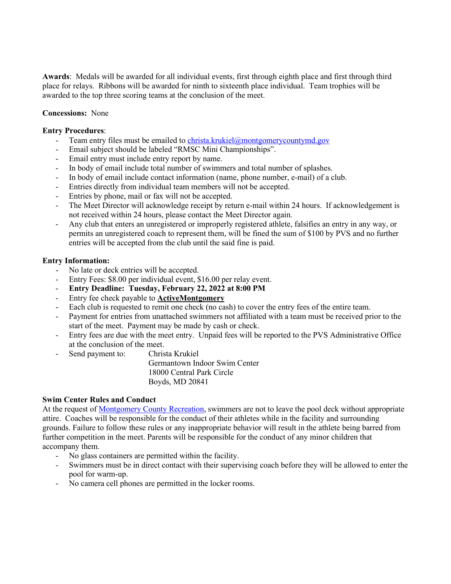**Awards**: Medals will be awarded for all individual events, first through eighth place and first through third place for relays. Ribbons will be awarded for ninth to sixteenth place individual. Team trophies will be awarded to the top three scoring teams at the conclusion of the meet.

#### **Concessions:** None

#### **Entry Procedures**:

- Team entry files must be emailed t[o christa.krukiel@montgomerycountymd.gov](mailto:christa.krukiel@montgomerycountymd.gov)
- Email subject should be labeled "RMSC Mini Championships".
- Email entry must include entry report by name.
- In body of email include total number of swimmers and total number of splashes.
- In body of email include contact information (name, phone number, e-mail) of a club.
- Entries directly from individual team members will not be accepted.
- Entries by phone, mail or fax will not be accepted.
- The Meet Director will acknowledge receipt by return e-mail within 24 hours. If acknowledgement is not received within 24 hours, please contact the Meet Director again.
- Any club that enters an unregistered or improperly registered athlete, falsifies an entry in any way, or permits an unregistered coach to represent them, will be fined the sum of \$100 by PVS and no further entries will be accepted from the club until the said fine is paid.

#### **Entry Information:**

- No late or deck entries will be accepted.
- Entry Fees: \$8.00 per individual event, \$16.00 per relay event.
- **Entry Deadline: Tuesday, February 22, 2022 at 8:00 PM**
- Entry fee check payable to **ActiveMontgomery**
- Each club is requested to remit one check (no cash) to cover the entry fees of the entire team.
- Payment for entries from unattached swimmers not affiliated with a team must be received prior to the start of the meet. Payment may be made by cash or check.
- Entry fees are due with the meet entry. Unpaid fees will be reported to the PVS Administrative Office at the conclusion of the meet.
- Send payment to: Christa Krukiel

Germantown Indoor Swim Center 18000 Central Park Circle Boyds, MD 20841

#### **Swim Center Rules and Conduct**

At the request of <u>Montgomery County Recreation</u>, swimmers are not to leave the pool deck without appropriate attire. Coaches will be responsible for the conduct of their athletes while in the facility and surrounding grounds. Failure to follow these rules or any inappropriate behavior will result in the athlete being barred from further competition in the meet. Parents will be responsible for the conduct of any minor children that accompany them.

- No glass containers are permitted within the facility.
- Swimmers must be in direct contact with their supervising coach before they will be allowed to enter the pool for warm-up.
- No camera cell phones are permitted in the locker rooms.